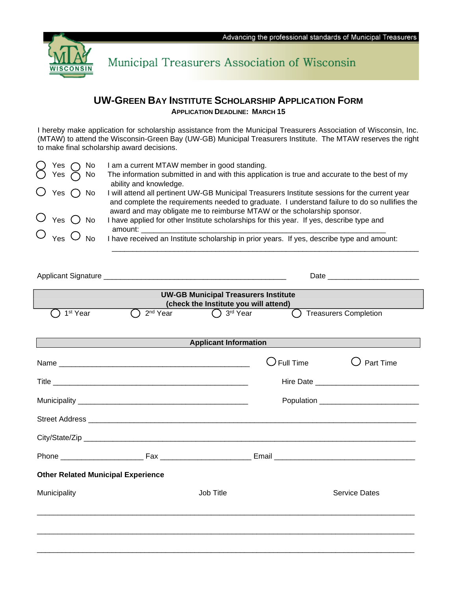

Municipal Treasurers Association of Wisconsin

## **UW-GREEN BAY INSTITUTE SCHOLARSHIP APPLICATION FORM APPLICATION DEADLINE: MARCH 15**

I hereby make application for scholarship assistance from the Municipal Treasurers Association of Wisconsin, Inc. (MTAW) to attend the Wisconsin-Green Bay (UW-GB) Municipal Treasurers Institute. The MTAW reserves the right to make final scholarship award decisions.

| $\bigcirc$ Yes $\bigcirc$ No<br>$\bigcirc$ Yes $\bigcirc$ No |  | am a current MTAW member in good standing.                                                                                                                                                    |
|--------------------------------------------------------------|--|-----------------------------------------------------------------------------------------------------------------------------------------------------------------------------------------------|
|                                                              |  | The information submitted in and with this application is true and accurate to the best of my<br>ability and knowledge.                                                                       |
| $\bigcirc$ Yes $\bigcirc$ No                                 |  | will attend all pertinent UW-GB Municipal Treasurers Institute sessions for the current year<br>and complete the requirements needed to graduate. I understand failure to do so nullifies the |
|                                                              |  | award and may obligate me to reimburse MTAW or the scholarship sponsor.                                                                                                                       |
| $\bigcirc$ Yes $\bigcirc$ No                                 |  | have applied for other Institute scholarships for this year. If yes, describe type and                                                                                                        |
|                                                              |  | amount:                                                                                                                                                                                       |
| $\bigcirc$ Yes $\bigcirc$ No                                 |  | I have received an Institute scholarship in prior years. If yes, describe type and amount:                                                                                                    |
|                                                              |  |                                                                                                                                                                                               |

|                                           |                      | <b>UW-GB Municipal Treasurers Institute</b><br>(check the Institute you will attend) |                      |                              |  |  |  |
|-------------------------------------------|----------------------|--------------------------------------------------------------------------------------|----------------------|------------------------------|--|--|--|
| 1 <sup>st</sup> Year                      | 2 <sup>nd</sup> Year | $\bigcap$ 3 <sup>rd</sup> Year                                                       | $\blacksquare$       | <b>Treasurers Completion</b> |  |  |  |
| <b>Applicant Information</b>              |                      |                                                                                      |                      |                              |  |  |  |
|                                           |                      |                                                                                      | $\bigcirc$ Full Time | Part Time                    |  |  |  |
|                                           |                      |                                                                                      |                      |                              |  |  |  |
|                                           |                      |                                                                                      |                      |                              |  |  |  |
|                                           |                      |                                                                                      |                      |                              |  |  |  |
|                                           |                      |                                                                                      |                      |                              |  |  |  |
|                                           |                      |                                                                                      |                      |                              |  |  |  |
| <b>Other Related Municipal Experience</b> |                      |                                                                                      |                      |                              |  |  |  |
| Municipality                              |                      | Job Title                                                                            |                      | <b>Service Dates</b>         |  |  |  |
|                                           |                      |                                                                                      |                      |                              |  |  |  |
|                                           |                      |                                                                                      |                      |                              |  |  |  |
|                                           |                      |                                                                                      |                      |                              |  |  |  |